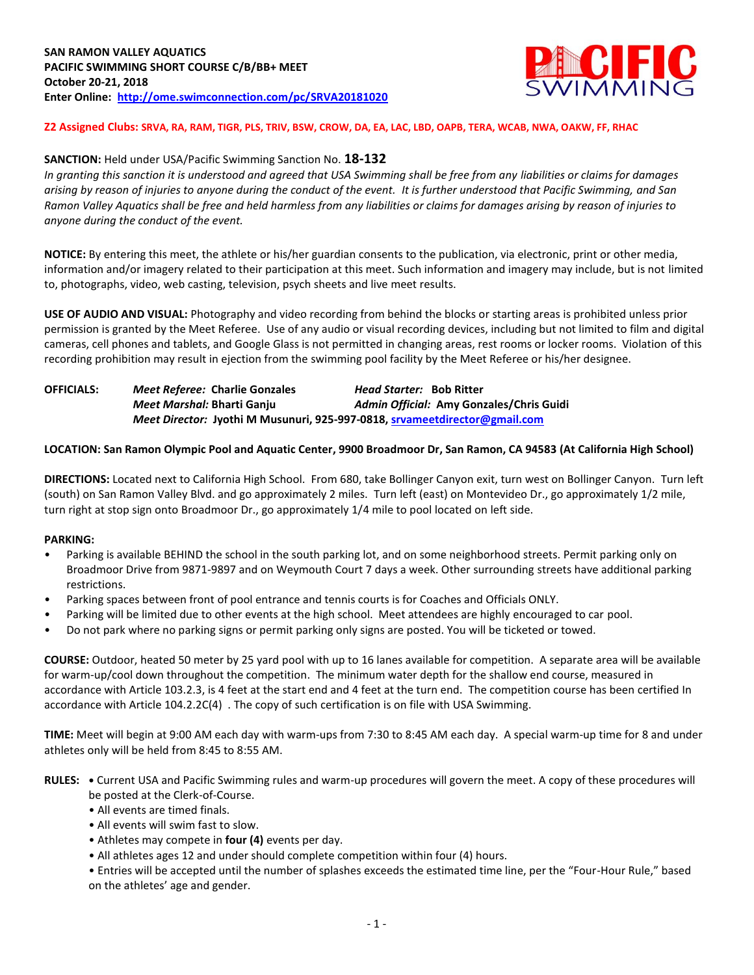

**Z2 Assigned Clubs: SRVA, RA, RAM, TIGR, PLS, TRIV, BSW, CROW, DA, EA, LAC, LBD, OAPB, TERA, WCAB, NWA, OAKW, FF, RHAC**

### **SANCTION:** Held under USA/Pacific Swimming Sanction No. **18-132**

*In granting this sanction it is understood and agreed that USA Swimming shall be free from any liabilities or claims for damages arising by reason of injuries to anyone during the conduct of the event. It is further understood that Pacific Swimming, and San Ramon Valley Aquatics shall be free and held harmless from any liabilities or claims for damages arising by reason of injuries to anyone during the conduct of the event.*

**NOTICE:** By entering this meet, the athlete or his/her guardian consents to the publication, via electronic, print or other media, information and/or imagery related to their participation at this meet. Such information and imagery may include, but is not limited to, photographs, video, web casting, television, psych sheets and live meet results.

**USE OF AUDIO AND VISUAL:** Photography and video recording from behind the blocks or starting areas is prohibited unless prior permission is granted by the Meet Referee. Use of any audio or visual recording devices, including but not limited to film and digital cameras, cell phones and tablets, and Google Glass is not permitted in changing areas, rest rooms or locker rooms. Violation of this recording prohibition may result in ejection from the swimming pool facility by the Meet Referee or his/her designee.

**OFFICIALS:** *Meet Referee:* **Charlie Gonzales** *Head Starter:* **Bob Ritter** *Meet Marshal:* **Bharti Ganju** *Admin Official:* **Amy Gonzales/Chris Guidi** *Meet Director:* **Jyothi M Musunuri, 925-997-0818, [srvameetdirector@gmail.com](mailto:srvameetdirector@gmail.com)**

#### **LOCATION: San Ramon Olympic Pool and Aquatic Center, 9900 Broadmoor Dr, San Ramon, CA 94583 (At California High School)**

**DIRECTIONS:** Located next to California High School. From 680, take Bollinger Canyon exit, turn west on Bollinger Canyon. Turn left (south) on San Ramon Valley Blvd. and go approximately 2 miles. Turn left (east) on Montevideo Dr., go approximately 1/2 mile, turn right at stop sign onto Broadmoor Dr., go approximately 1/4 mile to pool located on left side.

#### **PARKING:**

- Parking is available BEHIND the school in the south parking lot, and on some neighborhood streets. Permit parking only on Broadmoor Drive from 9871-9897 and on Weymouth Court 7 days a week. Other surrounding streets have additional parking restrictions.
- Parking spaces between front of pool entrance and tennis courts is for Coaches and Officials ONLY.
- Parking will be limited due to other events at the high school. Meet attendees are highly encouraged to car pool.
- Do not park where no parking signs or permit parking only signs are posted. You will be ticketed or towed.

**COURSE:** Outdoor, heated 50 meter by 25 yard pool with up to 16 lanes available for competition. A separate area will be available for warm-up/cool down throughout the competition. The minimum water depth for the shallow end course, measured in accordance with Article 103.2.3, is 4 feet at the start end and 4 feet at the turn end. The competition course has been certified In accordance with Article 104.2.2C(4) . The copy of such certification is on file with USA Swimming.

**TIME:** Meet will begin at 9:00 AM each day with warm-ups from 7:30 to 8:45 AM each day. A special warm-up time for 8 and under athletes only will be held from 8:45 to 8:55 AM.

- **RULES: •** Current USA and Pacific Swimming rules and warm-up procedures will govern the meet. A copy of these procedures will be posted at the Clerk-of-Course.
	- All events are timed finals.
	- All events will swim fast to slow.
	- Athletes may compete in **four (4)** events per day.
	- All athletes ages 12 and under should complete competition within four (4) hours.

• Entries will be accepted until the number of splashes exceeds the estimated time line, per the "Four-Hour Rule," based on the athletes' age and gender.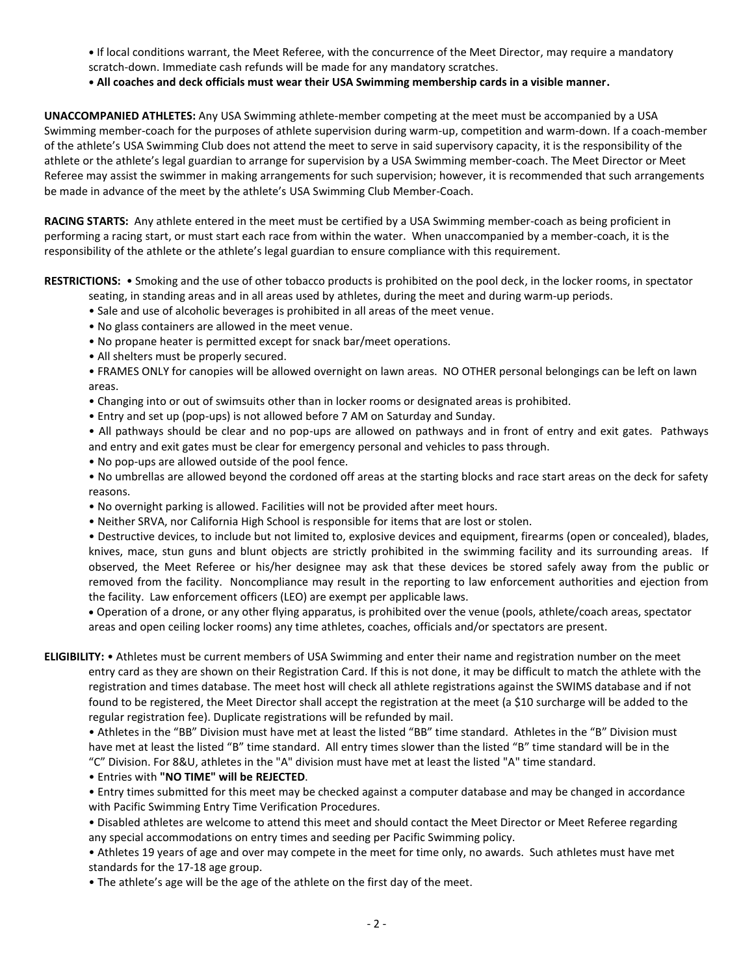- **•** If local conditions warrant, the Meet Referee, with the concurrence of the Meet Director, may require a mandatory scratch-down. Immediate cash refunds will be made for any mandatory scratches.
- **• All coaches and deck officials must wear their USA Swimming membership cards in a visible manner.**

**UNACCOMPANIED ATHLETES:** Any USA Swimming athlete-member competing at the meet must be accompanied by a USA Swimming member-coach for the purposes of athlete supervision during warm-up, competition and warm-down. If a coach-member of the athlete's USA Swimming Club does not attend the meet to serve in said supervisory capacity, it is the responsibility of the athlete or the athlete's legal guardian to arrange for supervision by a USA Swimming member-coach. The Meet Director or Meet Referee may assist the swimmer in making arrangements for such supervision; however, it is recommended that such arrangements be made in advance of the meet by the athlete's USA Swimming Club Member-Coach.

**RACING STARTS:** Any athlete entered in the meet must be certified by a USA Swimming member-coach as being proficient in performing a racing start, or must start each race from within the water. When unaccompanied by a member-coach, it is the responsibility of the athlete or the athlete's legal guardian to ensure compliance with this requirement.

**RESTRICTIONS:** • Smoking and the use of other tobacco products is prohibited on the pool deck, in the locker rooms, in spectator

- seating, in standing areas and in all areas used by athletes, during the meet and during warm-up periods.
- Sale and use of alcoholic beverages is prohibited in all areas of the meet venue.
- No glass containers are allowed in the meet venue.
- No propane heater is permitted except for snack bar/meet operations.
- All shelters must be properly secured.

• FRAMES ONLY for canopies will be allowed overnight on lawn areas. NO OTHER personal belongings can be left on lawn areas.

- Changing into or out of swimsuits other than in locker rooms or designated areas is prohibited.
- Entry and set up (pop-ups) is not allowed before 7 AM on Saturday and Sunday.

• All pathways should be clear and no pop-ups are allowed on pathways and in front of entry and exit gates. Pathways and entry and exit gates must be clear for emergency personal and vehicles to pass through.

- No pop-ups are allowed outside of the pool fence.
- No umbrellas are allowed beyond the cordoned off areas at the starting blocks and race start areas on the deck for safety reasons.
- No overnight parking is allowed. Facilities will not be provided after meet hours.
- Neither SRVA, nor California High School is responsible for items that are lost or stolen.

• Destructive devices, to include but not limited to, explosive devices and equipment, firearms (open or concealed), blades, knives, mace, stun guns and blunt objects are strictly prohibited in the swimming facility and its surrounding areas. If observed, the Meet Referee or his/her designee may ask that these devices be stored safely away from the public or removed from the facility. Noncompliance may result in the reporting to law enforcement authorities and ejection from the facility. Law enforcement officers (LEO) are exempt per applicable laws.

 Operation of a drone, or any other flying apparatus, is prohibited over the venue (pools, athlete/coach areas, spectator areas and open ceiling locker rooms) any time athletes, coaches, officials and/or spectators are present.

**ELIGIBILITY:** • Athletes must be current members of USA Swimming and enter their name and registration number on the meet entry card as they are shown on their Registration Card. If this is not done, it may be difficult to match the athlete with the registration and times database. The meet host will check all athlete registrations against the SWIMS database and if not found to be registered, the Meet Director shall accept the registration at the meet (a \$10 surcharge will be added to the regular registration fee). Duplicate registrations will be refunded by mail.

• Athletes in the "BB" Division must have met at least the listed "BB" time standard. Athletes in the "B" Division must have met at least the listed "B" time standard. All entry times slower than the listed "B" time standard will be in the "C" Division. For 8&U, athletes in the "A" division must have met at least the listed "A" time standard.

• Entries with **"NO TIME" will be REJECTED**.

• Entry times submitted for this meet may be checked against a computer database and may be changed in accordance with Pacific Swimming Entry Time Verification Procedures.

- Disabled athletes are welcome to attend this meet and should contact the Meet Director or Meet Referee regarding any special accommodations on entry times and seeding per Pacific Swimming policy.
- Athletes 19 years of age and over may compete in the meet for time only, no awards. Such athletes must have met standards for the 17-18 age group.
- The athlete's age will be the age of the athlete on the first day of the meet.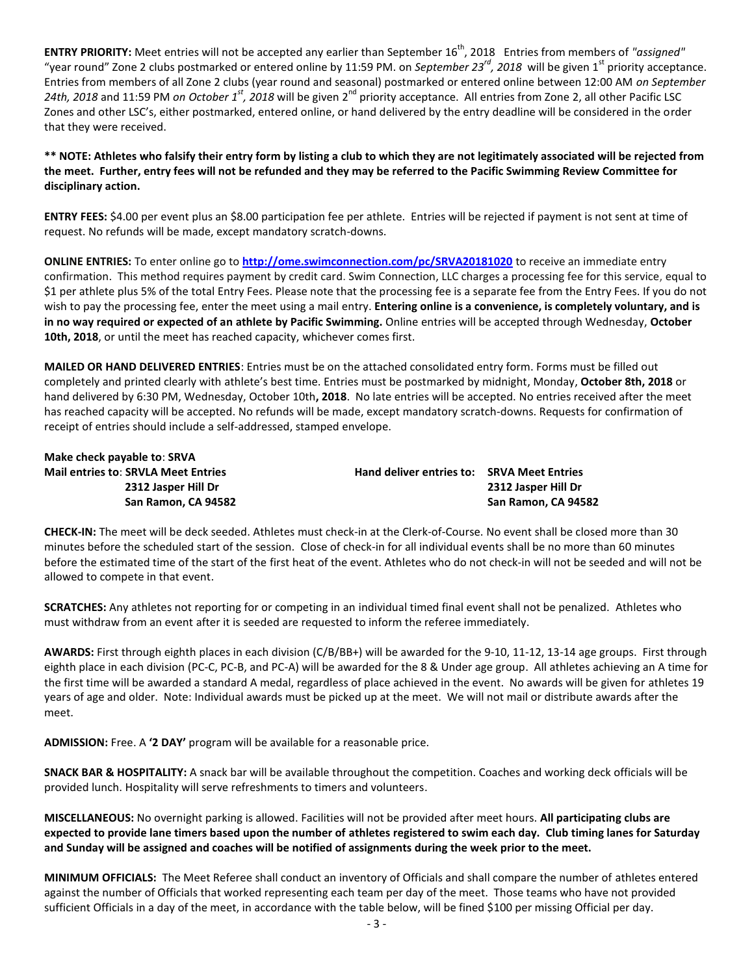**ENTRY PRIORITY:** Meet entries will not be accepted any earlier than September 16<sup>th</sup>, 2018 Entries from members of "assigned" "year round" Zone 2 clubs postmarked or entered online by 11:59 PM. on *September 23rd, 2018* will be given 1st priority acceptance. Entries from members of all Zone 2 clubs (year round and seasonal) postmarked or entered online between 12:00 AM *on September*  24th, 2018 and 11:59 PM *on October 1<sup>st</sup>*, 2018 will be given 2<sup>nd</sup> priority acceptance. All entries from Zone 2, all other Pacific LSC Zones and other LSC's, either postmarked, entered online, or hand delivered by the entry deadline will be considered in the order that they were received.

**\*\* NOTE: Athletes who falsify their entry form by listing a club to which they are not legitimately associated will be rejected from the meet. Further, entry fees will not be refunded and they may be referred to the Pacific Swimming Review Committee for disciplinary action.**

**ENTRY FEES:** \$4.00 per event plus an \$8.00 participation fee per athlete. Entries will be rejected if payment is not sent at time of request. No refunds will be made, except mandatory scratch-downs.

**ONLINE ENTRIES:** To enter online go to **<http://ome.swimconnection.com/pc/SRVA20181020>** to receive an immediate entry confirmation. This method requires payment by credit card. Swim Connection, LLC charges a processing fee for this service, equal to \$1 per athlete plus 5% of the total Entry Fees. Please note that the processing fee is a separate fee from the Entry Fees. If you do not wish to pay the processing fee, enter the meet using a mail entry. **Entering online is a convenience, is completely voluntary, and is in no way required or expected of an athlete by Pacific Swimming.** Online entries will be accepted through Wednesday, **October 10th, 2018**, or until the meet has reached capacity, whichever comes first.

**MAILED OR HAND DELIVERED ENTRIES**: Entries must be on the attached consolidated entry form. Forms must be filled out completely and printed clearly with athlete's best time. Entries must be postmarked by midnight, Monday, **October 8th, 2018** or hand delivered by 6:30 PM, Wednesday, October 10th**, 2018**. No late entries will be accepted. No entries received after the meet has reached capacity will be accepted. No refunds will be made, except mandatory scratch-downs. Requests for confirmation of receipt of entries should include a self-addressed, stamped envelope.

**Make check payable to**: **SRVA**

**Mail entries to**: **SRVLA Meet Entries Hand deliver entries to: SRVA Meet Entries 2312 Jasper Hill Dr 2312 Jasper Hill Dr San Ramon, CA 94582 San Ramon, CA 94582**

**CHECK-IN:** The meet will be deck seeded. Athletes must check-in at the Clerk-of-Course. No event shall be closed more than 30 minutes before the scheduled start of the session. Close of check-in for all individual events shall be no more than 60 minutes before the estimated time of the start of the first heat of the event. Athletes who do not check-in will not be seeded and will not be allowed to compete in that event.

**SCRATCHES:** Any athletes not reporting for or competing in an individual timed final event shall not be penalized. Athletes who must withdraw from an event after it is seeded are requested to inform the referee immediately.

**AWARDS:** First through eighth places in each division (C/B/BB+) will be awarded for the 9-10, 11-12, 13-14 age groups. First through eighth place in each division (PC-C, PC-B, and PC-A) will be awarded for the 8 & Under age group. All athletes achieving an A time for the first time will be awarded a standard A medal, regardless of place achieved in the event. No awards will be given for athletes 19 years of age and older. Note: Individual awards must be picked up at the meet. We will not mail or distribute awards after the meet.

**ADMISSION:** Free. A **'2 DAY'** program will be available for a reasonable price.

**SNACK BAR & HOSPITALITY:** A snack bar will be available throughout the competition. Coaches and working deck officials will be provided lunch. Hospitality will serve refreshments to timers and volunteers.

**MISCELLANEOUS:** No overnight parking is allowed. Facilities will not be provided after meet hours. **All participating clubs are expected to provide lane timers based upon the number of athletes registered to swim each day. Club timing lanes for Saturday and Sunday will be assigned and coaches will be notified of assignments during the week prior to the meet.**

**MINIMUM OFFICIALS:** The Meet Referee shall conduct an inventory of Officials and shall compare the number of athletes entered against the number of Officials that worked representing each team per day of the meet. Those teams who have not provided sufficient Officials in a day of the meet, in accordance with the table below, will be fined \$100 per missing Official per day.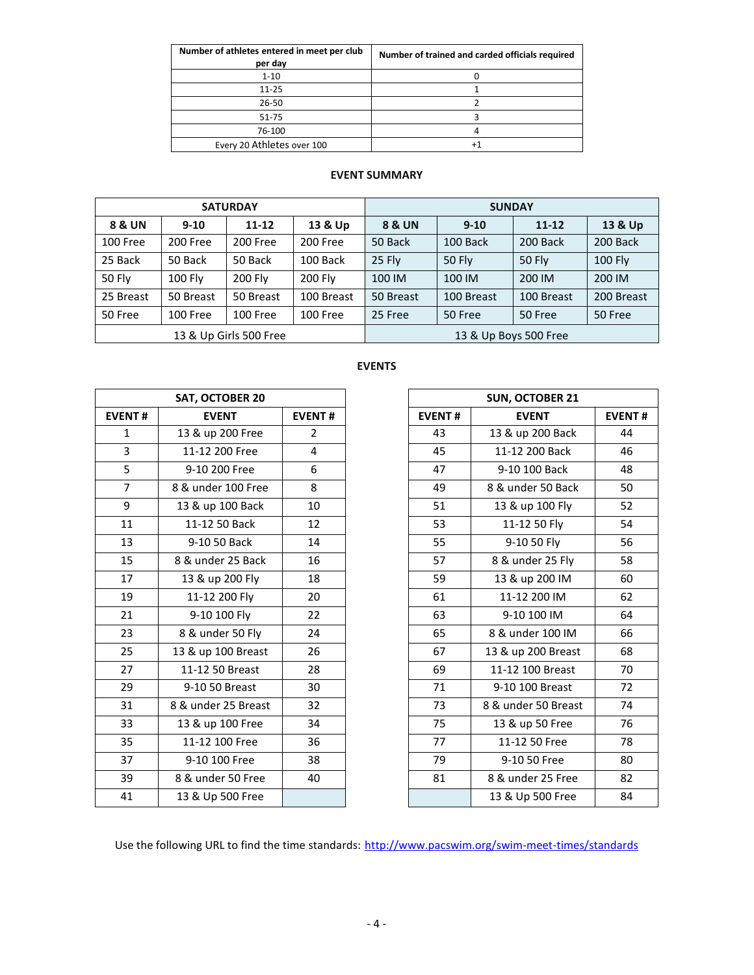| Number of athletes entered in meet per club<br>per day | Number of trained and carded officials required |
|--------------------------------------------------------|-------------------------------------------------|
| $1 - 10$                                               |                                                 |
| $11 - 25$                                              |                                                 |
| $26 - 50$                                              |                                                 |
| 51-75                                                  |                                                 |
| 76-100                                                 |                                                 |
| Every 20 Athletes over 100                             |                                                 |

## **EVENT SUMMARY**

| <b>SATURDAY</b>        |           |                |                 | <b>SUNDAY</b>           |            |               |                |  |  |
|------------------------|-----------|----------------|-----------------|-------------------------|------------|---------------|----------------|--|--|
| 8 & UN                 | $9 - 10$  | $11 - 12$      | 13 & Up         | <b>8 &amp; UN</b>       | $9 - 10$   | $11 - 12$     | 13 & Up        |  |  |
| 100 Free               | 200 Free  | 200 Free       | 200 Free        | 50 Back                 | 100 Back   | 200 Back      | 200 Back       |  |  |
| 25 Back                | 50 Back   | 50 Back        | 100 Back        | 25 Fly<br><b>50 Fly</b> |            | <b>50 Fly</b> | <b>100 Fly</b> |  |  |
| <b>50 Fly</b>          | 100 Fly   | <b>200 Flv</b> | <b>200 Flv</b>  | 100 IM                  | 100 IM     |               | 200 IM         |  |  |
| 25 Breast              | 50 Breast | 50 Breast      | 100 Breast      | 50 Breast               | 100 Breast | 100 Breast    | 200 Breast     |  |  |
| 50 Free                | 100 Free  | 100 Free       | <b>100 Free</b> | 25 Free                 | 50 Free    | 50 Free       | 50 Free        |  |  |
| 13 & Up Girls 500 Free |           |                |                 | 13 & Up Boys 500 Free   |            |               |                |  |  |

# **EVENTS**

| <b>SAT, OCTOBER 20</b> |                     |                |  |  |  |  |  |  |
|------------------------|---------------------|----------------|--|--|--|--|--|--|
| <b>EVENT#</b>          | <b>EVENT</b>        | <b>EVENT#</b>  |  |  |  |  |  |  |
| 1                      | 13 & up 200 Free    | $\overline{2}$ |  |  |  |  |  |  |
| 3                      | 11-12 200 Free      | 4              |  |  |  |  |  |  |
| 5                      | 9-10 200 Free       | 6              |  |  |  |  |  |  |
| 7                      | 8 & under 100 Free  | 8              |  |  |  |  |  |  |
| 9                      | 13 & up 100 Back    | 10             |  |  |  |  |  |  |
| 11                     | 11-12 50 Back       | 12             |  |  |  |  |  |  |
| 13                     | 9-10 50 Back        | 14             |  |  |  |  |  |  |
| 15                     | 8 & under 25 Back   | 16             |  |  |  |  |  |  |
| 17                     | 13 & up 200 Fly     | 18             |  |  |  |  |  |  |
| 19                     | 11-12 200 Fly       | 20             |  |  |  |  |  |  |
| 21                     | 9-10 100 Fly        | 22             |  |  |  |  |  |  |
| 23                     | 8 & under 50 Fly    | 24             |  |  |  |  |  |  |
| 25                     | 13 & up 100 Breast  | 26             |  |  |  |  |  |  |
| 27                     | 11-12 50 Breast     | 28             |  |  |  |  |  |  |
| 29                     | 9-10 50 Breast      | 30             |  |  |  |  |  |  |
| 31                     | 8 & under 25 Breast | 32             |  |  |  |  |  |  |
| 33                     | 13 & up 100 Free    | 34             |  |  |  |  |  |  |
| 35                     | 11-12 100 Free      | 36             |  |  |  |  |  |  |
| 37                     | 9-10 100 Free       | 38             |  |  |  |  |  |  |
| 39                     | 8 & under 50 Free   | 40             |  |  |  |  |  |  |
| 41                     | 13 & Up 500 Free    |                |  |  |  |  |  |  |

|                | SAT, OCTOBER 20     |                |
|----------------|---------------------|----------------|
| <b>EVENT#</b>  | <b>EVENT</b>        | <b>EVENT#</b>  |
| $\mathbf{1}$   | 13 & up 200 Free    | $\overline{2}$ |
| 3              | 11-12 200 Free      | 4              |
| 5              | 9-10 200 Free       | 6              |
| $\overline{7}$ | 8 & under 100 Free  | 8              |
| 9              | 13 & up 100 Back    | 10             |
| 11             | 11-12 50 Back       | 12             |
| 13             | 9-10 50 Back        | 14             |
| 15             | 8 & under 25 Back   | 16             |
| 17             | 13 & up 200 Fly     | 18             |
| 19             | 11-12 200 Fly       | 20             |
| 21             | 9-10 100 Fly        | 22             |
| 23             | 8 & under 50 Fly    | 24             |
| 25             | 13 & up 100 Breast  | 26             |
| 27             | 11-12 50 Breast     | 28             |
| 29             | 9-10 50 Breast      | 30             |
| 31             | 8 & under 25 Breast | 32             |
| 33             | 13 & up 100 Free    | 34             |
| 35             | 11-12 100 Free      | 36             |
| 37             | 9-10 100 Free       | 38             |
| 39             | 8 & under 50 Free   | 40             |
| 41             | 13 & Up 500 Free    |                |

Use the following URL to find the time standards: <http://www.pacswim.org/swim-meet-times/standards>